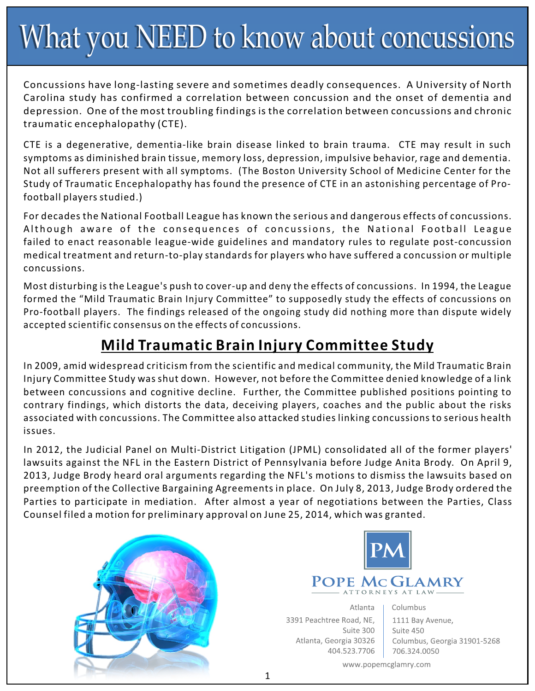# What you NEED to know about concussions

Concussions have long-lasting severe and sometimes deadly consequences. A University of North Carolina study has confirmed a correlation between concussion and the onset of dementia and depression. One of the most troubling findings is the correlation between concussions and chronic traumatic encephalopathy (CTE).

CTE is a degenerative, dementia-like brain disease linked to brain trauma. CTE may result in such symptoms as diminished brain tissue, memory loss, depression, impulsive behavior, rage and dementia. Not all sufferers present with all symptoms. (The Boston University School of Medicine Center for the Study of Traumatic Encephalopathy has found the presence of CTE in an astonishing percentage of Profootball players studied.)

For decades the National Football League has known the serious and dangerous effects of concussions. Although aware of the consequences of concussions, the National Football League failed to enact reasonable league-wide guidelines and mandatory rules to regulate post-concussion medical treatment and return-to-play standards for players who have suffered a concussion or multiple concussions.

Most disturbing is the League's push to cover-up and deny the effects of concussions. In 1994, the League formed the "Mild Traumatic Brain Injury Committee" to supposedly study the effects of concussions on Pro-football players. The findings released of the ongoing study did nothing more than dispute widely accepted scientific consensus on the effects of concussions.

### **Mild Traumatic Brain Injury Committee Study**

In 2009, amid widespread criticism from the scientific and medical community, the Mild Traumatic Brain Injury Committee Study was shut down. However, not before the Committee denied knowledge of a link between concussions and cognitive decline. Further, the Committee published positions pointing to contrary findings, which distorts the data, deceiving players, coaches and the public about the risks associated with concussions. The Committee also attacked studies linking concussions to serious health issues.

In 2012, the Judicial Panel on Multi-District Litigation (JPML) consolidated all of the former players' lawsuits against the NFL in the Eastern District of Pennsylvania before Judge Anita Brody. On April 9, 2013, Judge Brody heard oral arguments regarding the NFL's motions to dismiss the lawsuits based on preemption of the Collective Bargaining Agreements in place. On July 8, 2013, Judge Brody ordered the Parties to participate in mediation. After almost a year of negotiations between the Parties, Class Counsel filed a motion for preliminary approval on June 25, 2014, which was granted.





Atlanta 3391 Peachtree Road, NE, Suite 300 Atlanta, Georgia 30326 404.523.7706 Columbus 1111 Bay Avenue, Suite 450 Columbus, Georgia 31901-5268 706.324.0050

www.popemcglamry.com